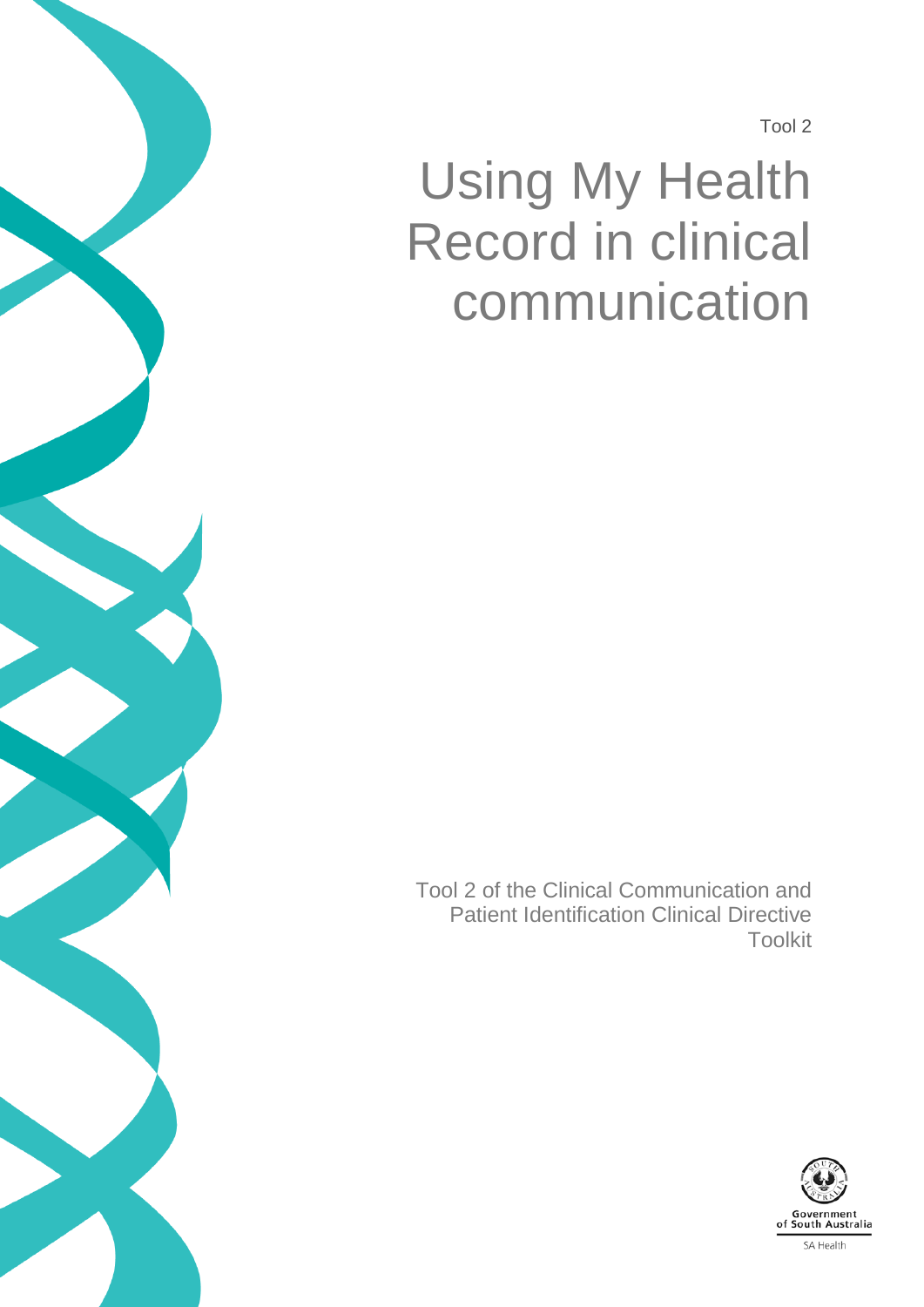Tool 2

# Using My Health Record in clinical communication

Tool 2 of the Clinical Communication and Patient Identification Clinical Directive Toolkit

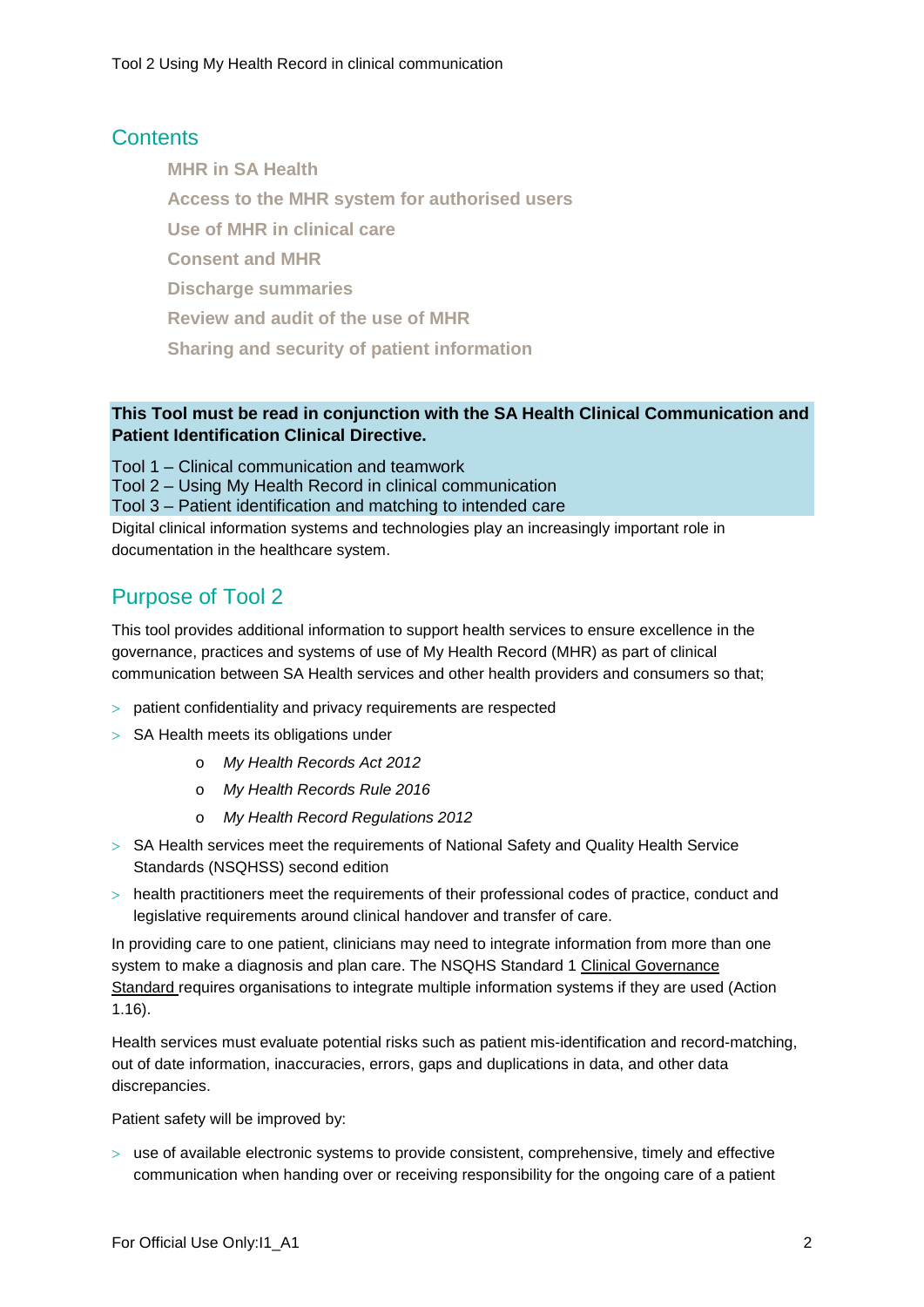#### **Contents**

**MHR in SA Health**

**Access to the MHR system for authorised users**

**Use of MHR in clinical care**

**Consent and MHR**

**Discharge summaries**

**Review and audit of the use of MHR**

**Sharing and security of patient information**

#### **This Tool must be read in conjunction with the SA Health Clinical Communication and Patient Identification Clinical Directive.**

Tool 1 – Clinical communication and teamwork

Tool 2 – Using My Health Record in clinical communication

Tool 3 – Patient identification and matching to intended care

Digital clinical information systems and technologies play an increasingly important role in documentation in the healthcare system.

# Purpose of Tool 2

This tool provides additional information to support health services to ensure excellence in the governance, practices and systems of use of My Health Record (MHR) as part of clinical communication between SA Health services and other health providers and consumers so that;

- > patient confidentiality and privacy requirements are respected
- > SA Health meets its obligations under
	- o *My Health Records Act 2012*
	- o *My Health Records Rule 2016*
	- o *My Health Record Regulations 2012*
- > SA Health services meet the requirements of [National Safety and Quality Health Service](https://www.safetyandquality.gov.au/our-work/assessment-to-the-nsqhs-standards/nsqhs-standards-second-edition/)  [Standards](https://www.safetyandquality.gov.au/our-work/assessment-to-the-nsqhs-standards/nsqhs-standards-second-edition/) (NSQHSS) second edition
- > health practitioners meet the requirements of their professional codes of practice, conduct and legislative requirements around clinical handover and transfer of care.

In providing care to one patient, clinicians may need to integrate information from more than one system to make a diagnosis and plan care. The NSQHS Standard 1 [Clinical Governance](http://www.nationalstandards.safetyandquality.gov.au/1.-clinical-governance)  [Standard](http://www.nationalstandards.safetyandquality.gov.au/1.-clinical-governance) requires organisations to integrate multiple information systems if they are used (Action 1.16).

Health services must evaluate potential risks such as patient mis-identification and record-matching, out of date information, inaccuracies, errors, gaps and duplications in data, and other data discrepancies.

Patient safety will be improved by:

 $>$  use of available electronic systems to provide consistent, comprehensive, timely and effective communication when handing over or receiving responsibility for the ongoing care of a patient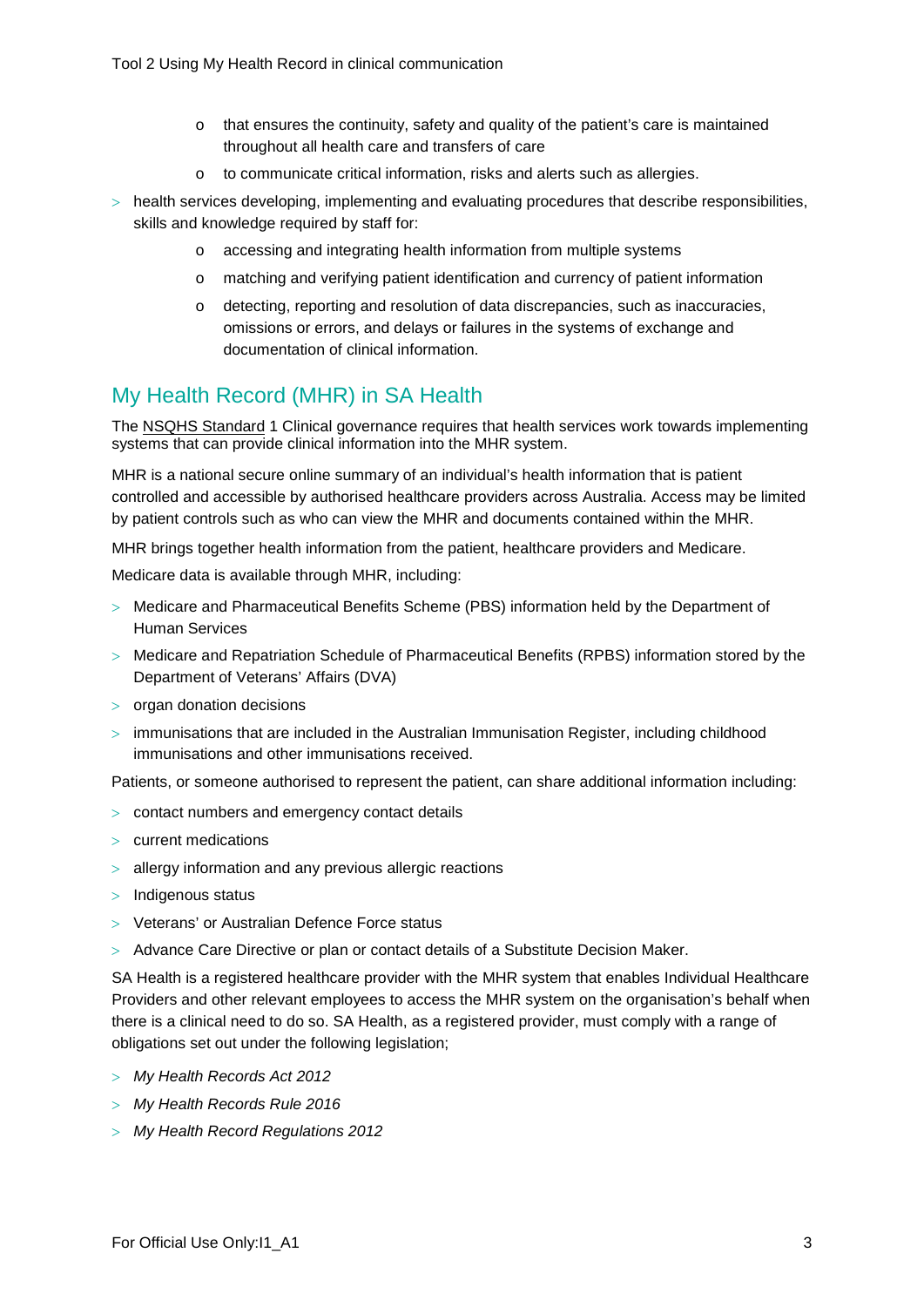- o that ensures the continuity, safety and quality of the patient's care is maintained throughout all health care and transfers of care
- o to communicate critical information, risks and alerts such as allergies.
- > health services developing, implementing and evaluating procedures that describe responsibilities, skills and knowledge required by staff for:
	- o accessing and integrating health information from multiple systems
	- o matching and verifying patient identification and currency of patient information
	- o detecting, reporting and resolution of data discrepancies, such as inaccuracies, omissions or errors, and delays or failures in the systems of exchange and documentation of clinical information.

## My Health Record (MHR) in SA Health

The [NSQHS Standard](https://www.safetyandquality.gov.au/our-work/assessment-to-the-nsqhs-standards/nsqhs-standards-second-edition/) 1 Clinical governance requires that health services work towards implementing systems that can provide clinical information into the MHR system.

MHR is a national secure online summary of an individual's health information that is patient controlled and accessible by authorised healthcare providers across Australia. Access may be limited by patient controls such as who can view the MHR and documents contained within the MHR.

MHR brings together health information from the patient, healthcare providers and Medicare.

Medicare data is available through MHR, including:

- > Medicare and Pharmaceutical Benefits Scheme (PBS) information held by the Department of Human Services
- > Medicare and Repatriation Schedule of Pharmaceutical Benefits (RPBS) information stored by the Department of Veterans' Affairs (DVA)
- > organ donation decisions
- $>$  immunisations that are included in the Australian Immunisation Register, including childhood immunisations and other immunisations received.

Patients, or someone authorised to represent the patient, can share additional information including:

- > contact numbers and emergency contact details
- > current medications
- > allergy information and any previous allergic reactions
- > Indigenous status
- > Veterans' or Australian Defence Force status
- > Advance Care Directive or plan or contact details of a Substitute Decision Maker.

SA Health is a registered healthcare provider with the MHR system that enables Individual Healthcare Providers and other relevant employees to access the MHR system on the organisation's behalf when there is a clinical need to do so. SA Health, as a registered provider, must comply with a range of obligations set out under the following legislation;

- > *My Health Records Act 2012*
- > *My Health Records Rule 2016*
- > *My Health Record Regulations 2012*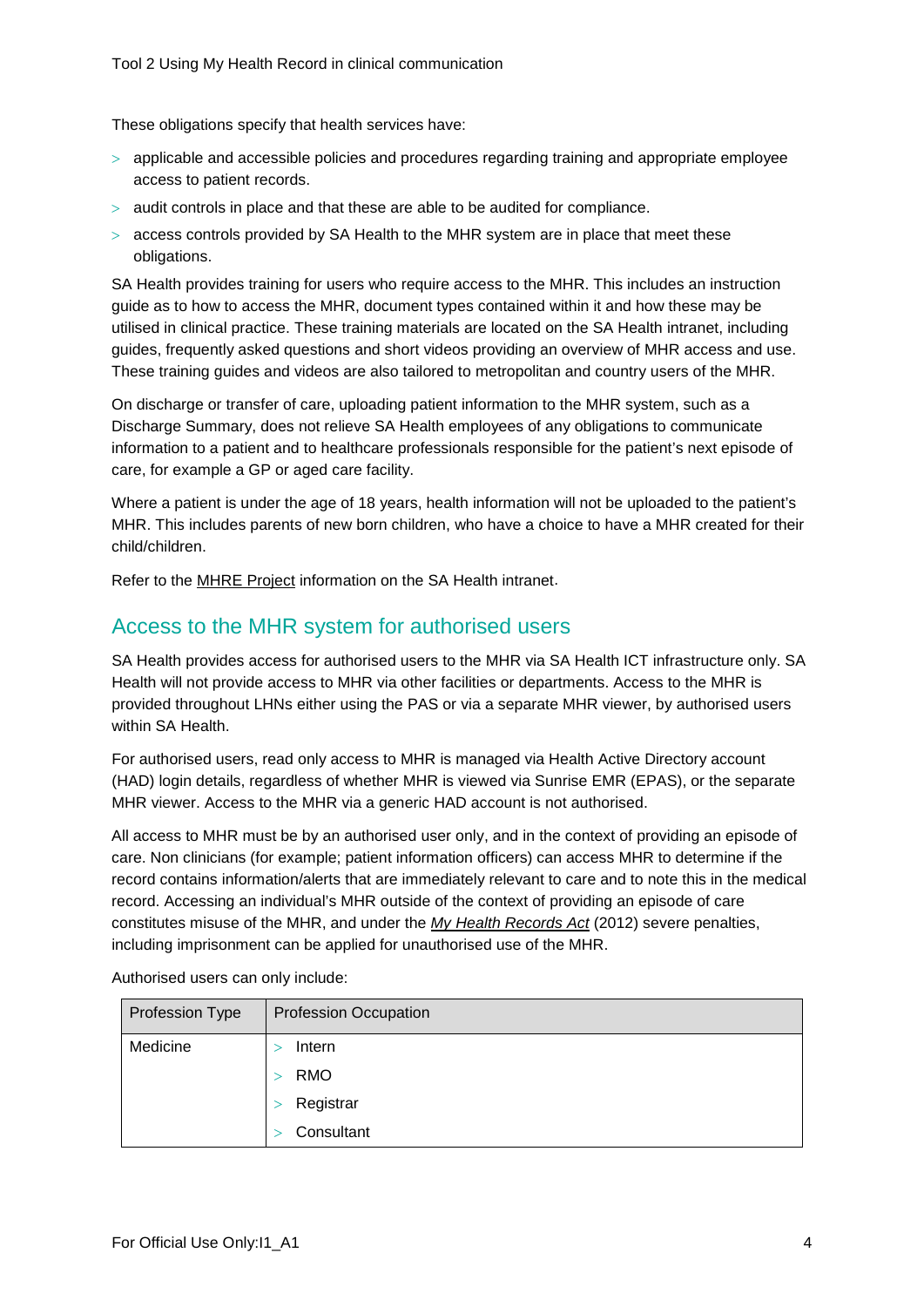These obligations specify that health services have:

- > applicable and accessible policies and procedures regarding training and appropriate employee access to patient records.
- > audit controls in place and that these are able to be audited for compliance.
- $>$  access controls provided by SA Health to the MHR system are in place that meet these obligations.

SA Health provides training for users who require access to the MHR. This includes an instruction guide as to how to access the MHR, document types contained within it and how these may be utilised in clinical practice. These training materials are located on the SA Health intranet, including guides, frequently asked questions and short videos providing an overview of MHR access and use. These training guides and videos are also tailored to metropolitan and country users of the MHR.

On discharge or transfer of care, uploading patient information to the MHR system, such as a Discharge Summary, does not relieve SA Health employees of any obligations to communicate information to a patient and to healthcare professionals responsible for the patient's next episode of care, for example a GP or aged care facility.

Where a patient is under the age of 18 years, health information will not be uploaded to the patient's MHR. This includes parents of new born children, who have a choice to have a MHR created for their child/children.

Refer to the MHRE Project information [on the SA Health intranet.](http://inside.sahealth.sa.gov.au/wps/wcm/connect/non-public+content/sa+health+intranet/resources/my+health+record+expansion+project+frequently+asked+questions)

#### Access to the MHR system for authorised users

SA Health provides access for authorised users to the MHR via SA Health ICT infrastructure only. SA Health will not provide access to MHR via other facilities or departments. Access to the MHR is provided throughout LHNs either using the PAS or via a separate MHR viewer, by authorised users within SA Health.

For authorised users, read only access to MHR is managed via Health Active Directory account (HAD) login details, regardless of whether MHR is viewed via Sunrise EMR (EPAS), or the separate MHR viewer. Access to the MHR via a generic HAD account is not authorised.

All access to MHR must be by an authorised user only, and in the context of providing an episode of care. Non clinicians (for example; patient information officers) can access MHR to determine if the record contains information/alerts that are immediately relevant to care and to note this in the medical record. Accessing an individual's MHR outside of the context of providing an episode of care constitutes misuse of the MHR, and under the *[My Health Records Act](https://www.legislation.gov.au/Details/C2017C00313)* (2012) severe penalties, including imprisonment can be applied for unauthorised use of the MHR.

| Profession Type | <b>Profession Occupation</b> |
|-----------------|------------------------------|
| Medicine        | Intern                       |
|                 | <b>RMO</b>                   |
|                 | Registrar                    |
|                 | Consultant                   |

Authorised users can only include: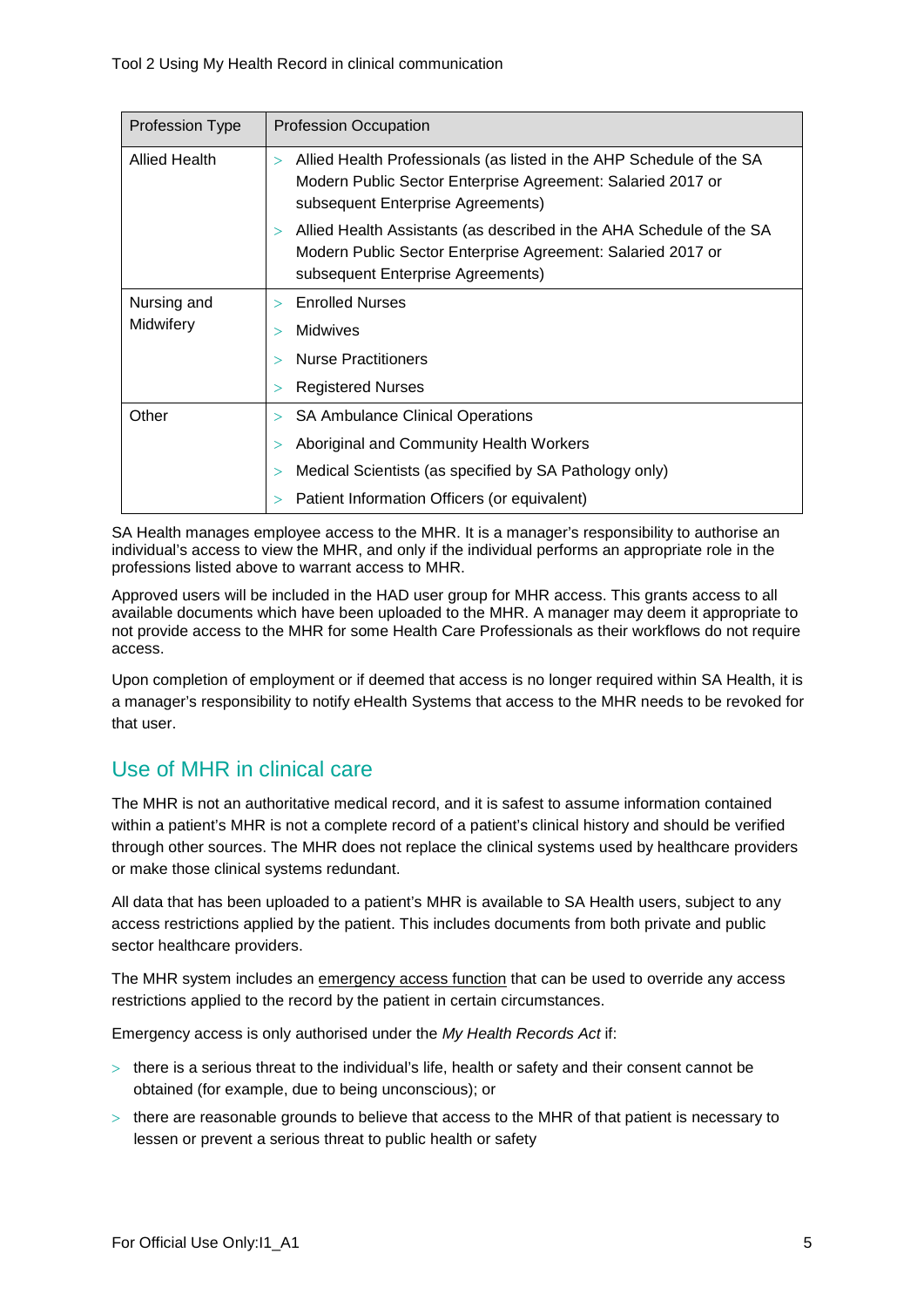| <b>Profession Type</b>   | <b>Profession Occupation</b>                                                                                                                                                       |
|--------------------------|------------------------------------------------------------------------------------------------------------------------------------------------------------------------------------|
| <b>Allied Health</b>     | Allied Health Professionals (as listed in the AHP Schedule of the SA<br>$\geq$<br>Modern Public Sector Enterprise Agreement: Salaried 2017 or<br>subsequent Enterprise Agreements) |
|                          | Allied Health Assistants (as described in the AHA Schedule of the SA<br>$\geq$<br>Modern Public Sector Enterprise Agreement: Salaried 2017 or<br>subsequent Enterprise Agreements) |
| Nursing and<br>Midwifery | <b>Enrolled Nurses</b><br>$\mathbf{I}$                                                                                                                                             |
|                          | <b>Midwives</b>                                                                                                                                                                    |
|                          | <b>Nurse Practitioners</b>                                                                                                                                                         |
|                          | <b>Registered Nurses</b><br>>                                                                                                                                                      |
| Other                    | <b>SA Ambulance Clinical Operations</b><br>$\geq$                                                                                                                                  |
|                          | Aboriginal and Community Health Workers                                                                                                                                            |
|                          | Medical Scientists (as specified by SA Pathology only)                                                                                                                             |
|                          | Patient Information Officers (or equivalent)                                                                                                                                       |

SA Health manages employee access to the MHR. It is a manager's responsibility to authorise an individual's access to view the MHR, and only if the individual performs an appropriate role in the professions listed above to warrant access to MHR.

Approved users will be included in the HAD user group for MHR access. This grants access to all available documents which have been uploaded to the MHR. A manager may deem it appropriate to not provide access to the MHR for some Health Care Professionals as their workflows do not require access.

Upon completion of employment or if deemed that access is no longer required within SA Health, it is a manager's responsibility to notify eHealth Systems that access to the MHR needs to be revoked for that user.

# Use of MHR in clinical care

The MHR is not an authoritative medical record, and it is safest to assume information contained within a patient's MHR is not a complete record of a patient's clinical history and should be verified through other sources. The MHR does not replace the clinical systems used by healthcare providers or make those clinical systems redundant.

All data that has been uploaded to a patient's MHR is available to SA Health users, subject to any access restrictions applied by the patient. This includes documents from both private and public sector healthcare providers.

The MHR system includes an [emergency access function](https://www.myhealthrecord.gov.au/for-healthcare-professionals/howtos/emergency-access) that can be used to override any access restrictions applied to the record by the patient in certain circumstances.

Emergency access is only authorised under the *My Health Records Act* if:

- $>$  there is a serious threat to the individual's life, health or safety and their consent cannot be obtained (for example, due to being unconscious); or
- $>$  there are reasonable grounds to believe that access to the MHR of that patient is necessary to lessen or prevent a serious threat to public health or safety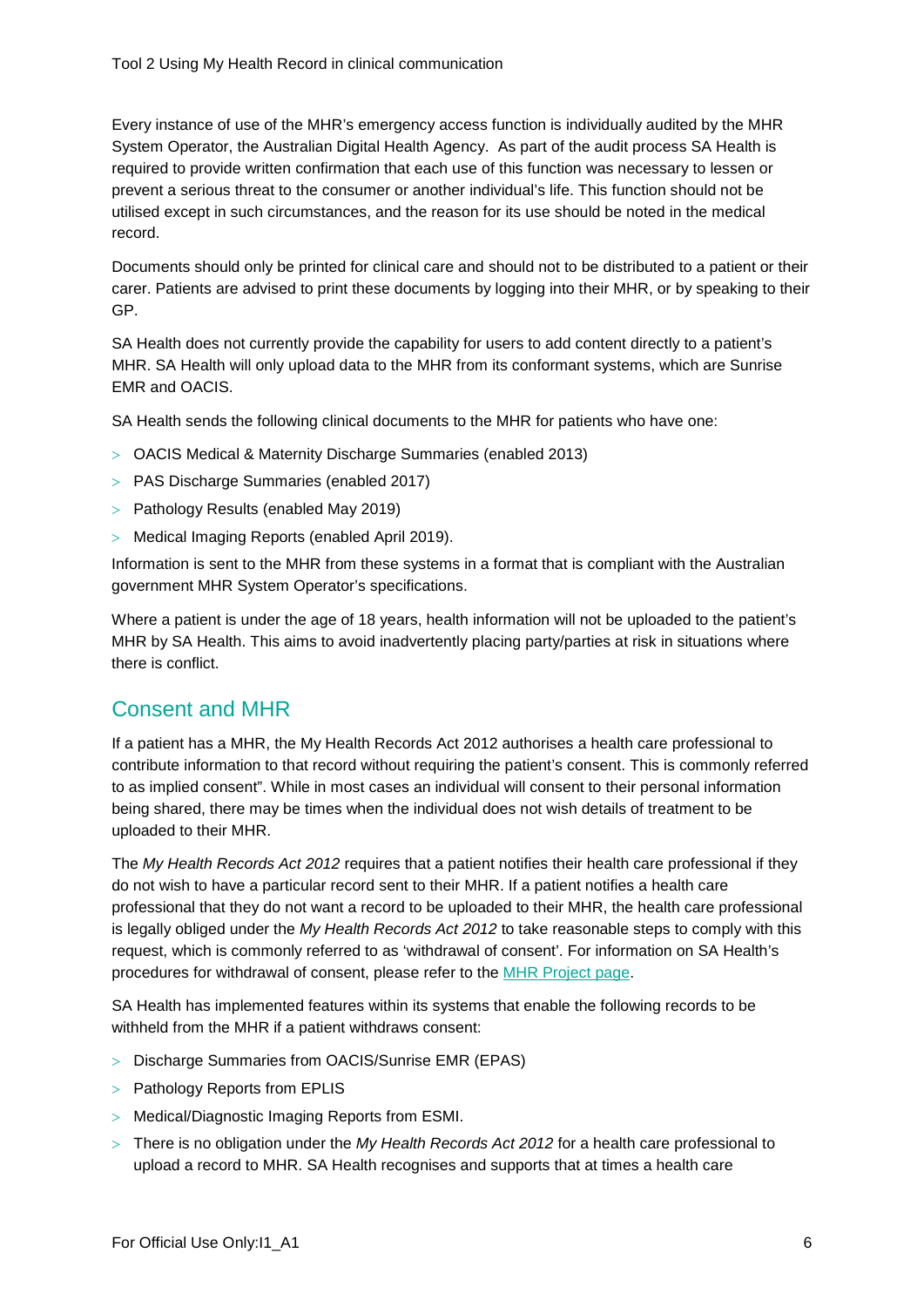Every instance of use of the MHR's emergency access function is individually audited by the MHR System Operator, the Australian Digital Health Agency. As part of the audit process SA Health is required to provide written confirmation that each use of this function was necessary to lessen or prevent a serious threat to the consumer or another individual's life. This function should not be utilised except in such circumstances, and the reason for its use should be noted in the medical record.

Documents should only be printed for clinical care and should not to be distributed to a patient or their carer. Patients are advised to print these documents by logging into their MHR, or by speaking to their GP.

SA Health does not currently provide the capability for users to add content directly to a patient's MHR. SA Health will only upload data to the MHR from its conformant systems, which are Sunrise EMR and OACIS.

SA Health sends the following clinical documents to the MHR for patients who have one:

- > OACIS Medical & Maternity Discharge Summaries (enabled 2013)
- > PAS Discharge Summaries (enabled 2017)
- > Pathology Results (enabled May 2019)
- > Medical Imaging Reports (enabled April 2019).

Information is sent to the MHR from these systems in a format that is compliant with the Australian government MHR System Operator's specifications.

Where a patient is under the age of 18 years, health information will not be uploaded to the patient's MHR by SA Health. This aims to avoid inadvertently placing party/parties at risk in situations where there is conflict.

#### Consent and MHR

If a patient has a MHR, the [My Health Records Act 2012](https://www.legislation.gov.au/Details/C2017C00313) authorises a health care professional to contribute information to that record without requiring the patient's consent. This is commonly referred to as implied consent". While in most cases an individual will consent to their personal information being shared, there may be times when the individual does not wish details of treatment to be uploaded to their MHR.

The *My Health Records Act 2012* requires that a patient notifies their health care professional if they do not wish to have a particular record sent to their MHR. If a patient notifies a health care professional that they do not want a record to be uploaded to their MHR, the health care professional is legally obliged under the *My Health Records Act 2012* to take reasonable steps to comply with this request, which is commonly referred to as 'withdrawal of consent'. For information on SA Health's procedures for withdrawal of consent, please refer to the [MHR Project page.](http://inside.sahealth.sa.gov.au/wps/poc?urile=wcm:path%3A%2FNon-public%2BContent%2FSA%2BHealth%2BIntranet%2FBusiness%2Bunits%2FHealth%2BReform%2FProjects%2FeHealth%2FMy%2BHealth%2BRecord%2BExpansion%2BProject)

SA Health has implemented features within its systems that enable the following records to be withheld from the MHR if a patient withdraws consent:

- > Discharge Summaries from OACIS/Sunrise EMR (EPAS)
- > Pathology Reports from EPLIS
- > Medical/Diagnostic Imaging Reports from ESMI.
- > There is no obligation under the *My Health Records Act 2012* for a health care professional to upload a record to MHR. SA Health recognises and supports that at times a health care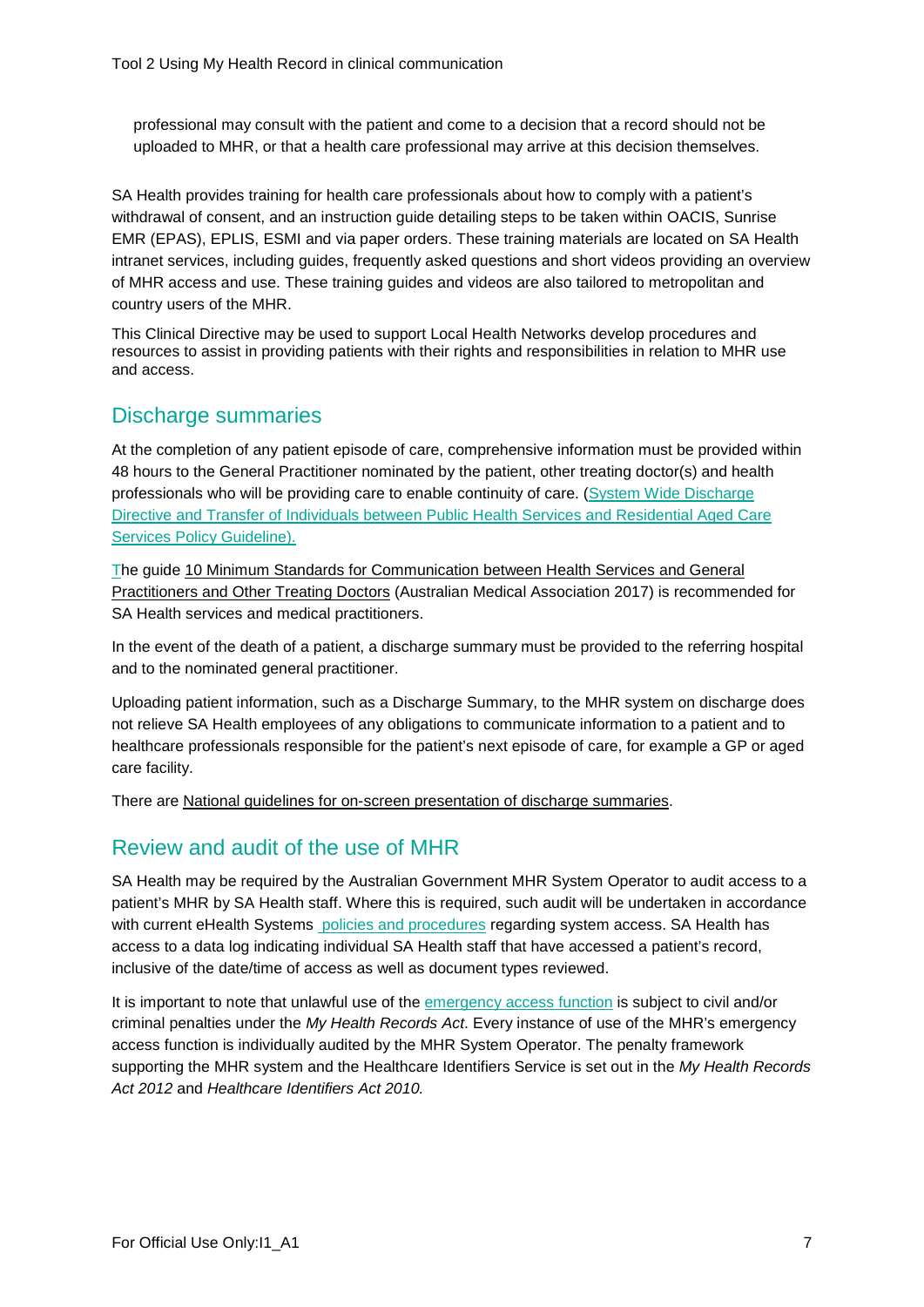professional may consult with the patient and come to a decision that a record should not be uploaded to MHR, or that a health care professional may arrive at this decision themselves.

SA Health provides training for health care professionals about how to comply with a patient's withdrawal of consent, and an instruction guide detailing steps to be taken within OACIS, Sunrise EMR (EPAS), EPLIS, ESMI and via paper orders. These training materials are located on SA Health intranet services, including guides, frequently asked questions and short videos providing an overview of MHR access and use. These training guides and videos are also tailored to metropolitan and country users of the MHR.

This Clinical Directive may be used to support Local Health Networks develop procedures and resources to assist in providing patients with their rights and responsibilities in relation to MHR use and access.

### Discharge summaries

At the completion of any patient episode of care, comprehensive information must be provided within 48 hours to the General Practitioner nominated by the patient, other treating doctor(s) and health professionals who will be providing care to enable continuity of care. [\(System Wide Discharge](http://inside.sahealth.sa.gov.au/wps/wcm/connect/3678388043cf9fed99b7bd1013b2c54b/Guideline_Transfer%2Bof%2BIndividuals_26062018.pdf?MOD=AJPERES&CACHE=NONE&CONTENTCACHE=NONE)  [Directive and Transfer of Individuals between Public Health Services and Residential Aged Care](http://inside.sahealth.sa.gov.au/wps/wcm/connect/3678388043cf9fed99b7bd1013b2c54b/Guideline_Transfer%2Bof%2BIndividuals_26062018.pdf?MOD=AJPERES&CACHE=NONE&CONTENTCACHE=NONE)  [Services Policy Guideline\).](http://inside.sahealth.sa.gov.au/wps/wcm/connect/3678388043cf9fed99b7bd1013b2c54b/Guideline_Transfer%2Bof%2BIndividuals_26062018.pdf?MOD=AJPERES&CACHE=NONE&CONTENTCACHE=NONE)

[Th](http://inside.sahealth.sa.gov.au/wps/wcm/connect/3678388043cf9fed99b7bd1013b2c54b/Guideline_Transfer%2Bof%2BIndividuals_26062018.pdf?MOD=AJPERES&CACHE=NONE&CONTENTCACHE=NONE)e guide [10 Minimum Standards for Communication between Health Services and General](https://ama.com.au/article/10-minimum-standards-communication)  [Practitioners and Other Treating Doctors](https://ama.com.au/article/10-minimum-standards-communication) (Australian Medical Association 2017) is recommended for SA Health services and medical practitioners.

In the event of the death of a patient, a discharge summary must be provided to the referring hospital and to the nominated general practitioner.

Uploading patient information, such as a Discharge Summary, to the MHR system on discharge does not relieve SA Health employees of any obligations to communicate information to a patient and to healthcare professionals responsible for the patient's next episode of care, for example a GP or aged care facility.

There are [National guidelines for on-screen presentation of discharge summaries.](https://www.safetyandquality.gov.au/publications/national-guidelines-for-on-screen-presentation-of-discharge-summaries/)

## Review and audit of the use of MHR

SA Health may be required by the Australian Government MHR System Operator to audit access to a patient's MHR by SA Health staff. Where this is required, such audit will be undertaken in accordance with current eHealth Systems [policies and procedures](http://inside.sahealth.sa.gov.au/wps/wcm/connect/non-public+content/sa+health+intranet/business+units/ehealth+systems/ehealth+systems+policies) regarding system access. SA Health has access to a data log indicating individual SA Health staff that have accessed a patient's record, inclusive of the date/time of access as well as document types reviewed.

It is important to note that unlawful use of the [emergency access function](https://www.myhealthrecord.gov.au/for-healthcare-professionals/howtos/emergency-access) is subject to civil and/or criminal penalties under the *My Health Records Act*. Every instance of use of the MHR's emergency access function is individually audited by the MHR System Operator. The penalty framework supporting the MHR system and the Healthcare Identifiers Service is set out in the *My Health Records Act 2012* and *Healthcare Identifiers Act 2010.*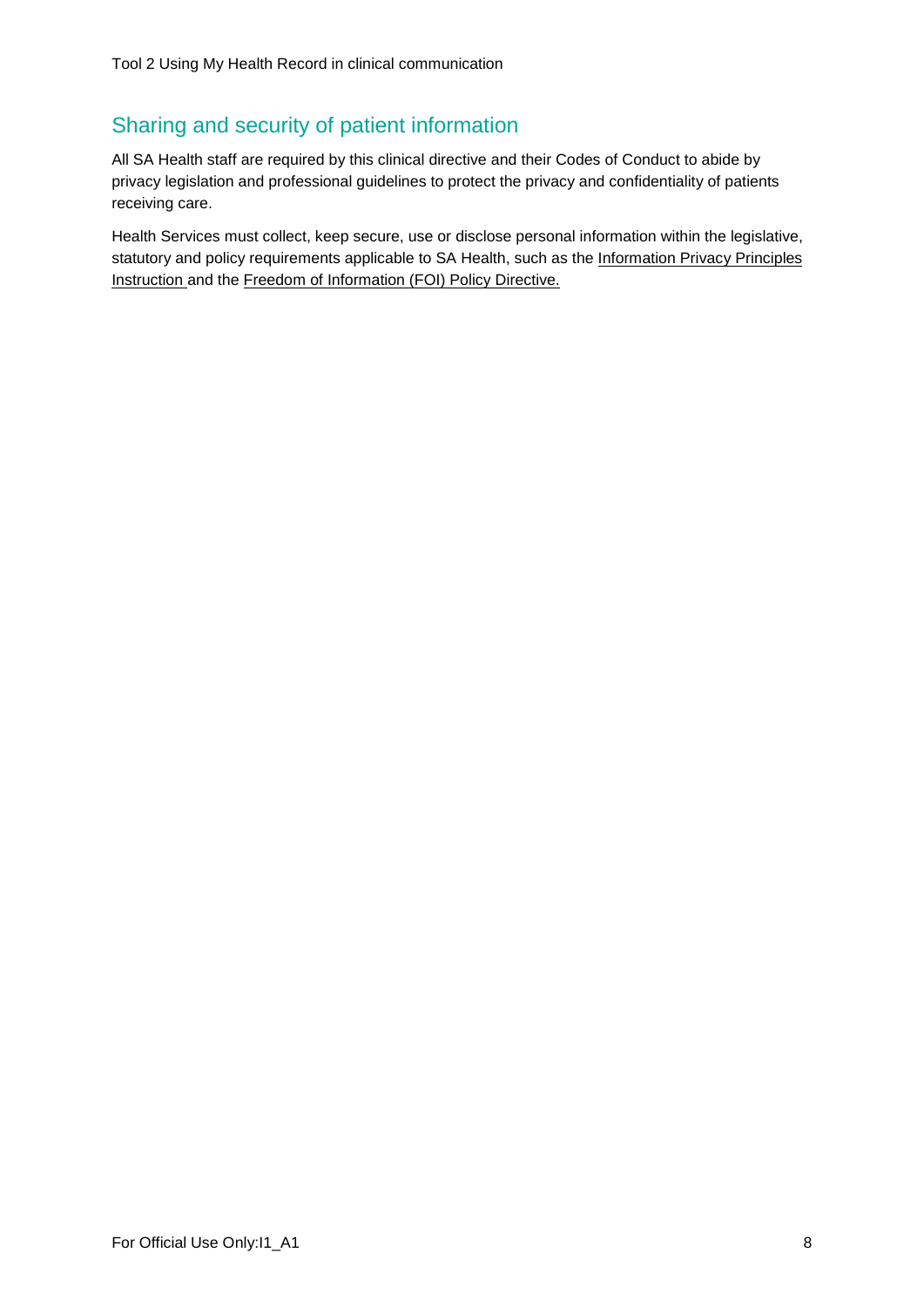# Sharing and security of patient information

All SA Health staff are required by this clinical directive and their Codes of Conduct to abide by privacy legislation and professional guidelines to protect the privacy and confidentiality of patients receiving care.

Health Services must collect, keep secure, use or disclose personal information within the legislative, statutory and policy requirements applicable to SA Health, such as the Information Privacy Principles [Instruction](https://www.archives.sa.gov.au/content/privacy-guidelines-infosheets) and the [Freedom of Information \(FOI\) Policy Directive.](http://inside.sahealth.sa.gov.au/wps/wcm/connect/non-public+content/sa+health+intranet/business+units/health+system+development/office+of+the+chief+executive/policies/directives/freedom+of+information+policy+directive)